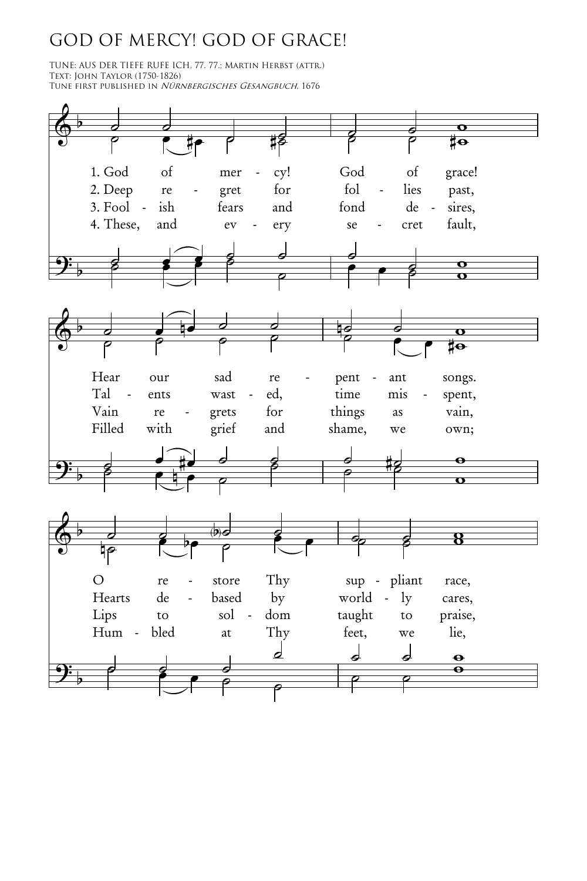## GOD OF MERCY! GOD OF GRACE!

TUNE: AUS DER TIEFE RUFE ICH, 77. 77.; Martin Herbst (attr.) Text: John Taylor (1750-1826) Tune first published in Nürnbergisches Gesangbuch, 1676